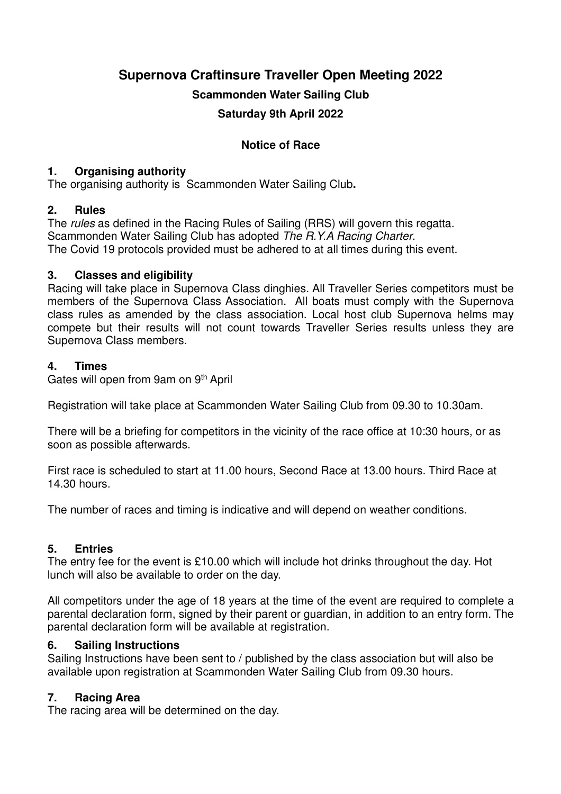**Supernova Craftinsure Traveller Open Meeting 2022**

**Scammonden Water Sailing Club**

**Saturday 9th April 2022**

# **Notice of Race**

## **1. Organising authority**

The organising authority is Scammonden Water Sailing Club**.**

# **2. Rules**

The rules as defined in the Racing Rules of Sailing (RRS) will govern this regatta. Scammonden Water Sailing Club has adopted The R.Y.A Racing Charter. The Covid 19 protocols provided must be adhered to at all times during this event.

### **3. Classes and eligibility**

Racing will take place in Supernova Class dinghies. All Traveller Series competitors must be members of the Supernova Class Association. All boats must comply with the Supernova class rules as amended by the class association. Local host club Supernova helms may compete but their results will not count towards Traveller Series results unless they are Supernova Class members.

# **4. Times**

Gates will open from 9am on 9th April

Registration will take place at Scammonden Water Sailing Club from 09.30 to 10.30am.

There will be a briefing for competitors in the vicinity of the race office at 10:30 hours, or as soon as possible afterwards.

First race is scheduled to start at 11.00 hours, Second Race at 13.00 hours. Third Race at 14.30 hours.

The number of races and timing is indicative and will depend on weather conditions.

# **5. Entries**

The entry fee for the event is £10.00 which will include hot drinks throughout the day. Hot lunch will also be available to order on the day.

All competitors under the age of 18 years at the time of the event are required to complete a parental declaration form, signed by their parent or guardian, in addition to an entry form. The parental declaration form will be available at registration.

### **6. Sailing Instructions**

Sailing Instructions have been sent to / published by the class association but will also be available upon registration at Scammonden Water Sailing Club from 09.30 hours.

# **7. Racing Area**

The racing area will be determined on the day.